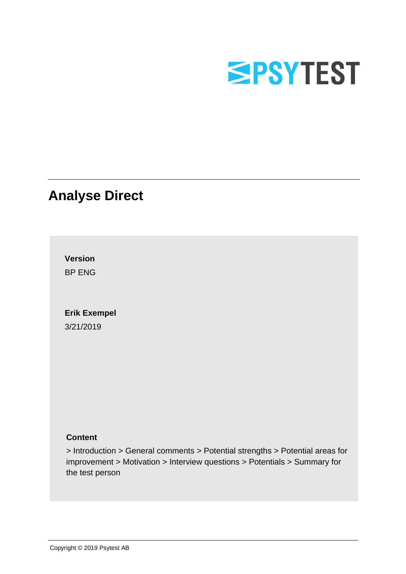

# **Analyse Direct**

**Version** BP ENG

# **Erik Exempel**

3/21/2019

### **Content**

> Introduction > General comments > Potential strengths > Potential areas for improvement > Motivation > Interview questions > Potentials > Summary for the test person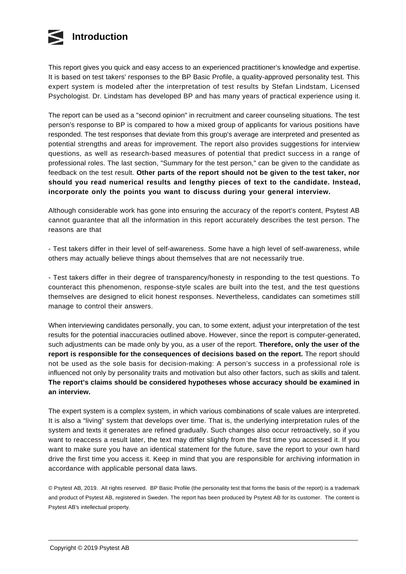

This report gives you quick and easy access to an experienced practitioner's knowledge and expertise. It is based on test takers' responses to the BP Basic Profile, a quality-approved personality test. This expert system is modeled after the interpretation of test results by Stefan Lindstam, Licensed Psychologist. Dr. Lindstam has developed BP and has many years of practical experience using it.

The report can be used as a "second opinion" in recruitment and career counseling situations. The test person's response to BP is compared to how a mixed group of applicants for various positions have responded. The test responses that deviate from this group's average are interpreted and presented as potential strengths and areas for improvement. The report also provides suggestions for interview questions, as well as research-based measures of potential that predict success in a range of professional roles. The last section, "Summary for the test person," can be given to the candidate as feedback on the test result. **Other parts of the report should not be given to the test taker, nor should you read numerical results and lengthy pieces of text to the candidate. Instead, incorporate only the points you want to discuss during your general interview.**

Although considerable work has gone into ensuring the accuracy of the report's content, Psytest AB cannot guarantee that all the information in this report accurately describes the test person. The reasons are that

- Test takers differ in their level of self-awareness. Some have a high level of self-awareness, while others may actually believe things about themselves that are not necessarily true.

- Test takers differ in their degree of transparency/honesty in responding to the test questions. To counteract this phenomenon, response-style scales are built into the test, and the test questions themselves are designed to elicit honest responses. Nevertheless, candidates can sometimes still manage to control their answers.

When interviewing candidates personally, you can, to some extent, adjust your interpretation of the test results for the potential inaccuracies outlined above. However, since the report is computer-generated, such adjustments can be made only by you, as a user of the report. **Therefore, only the user of the report is responsible for the consequences of decisions based on the report.** The report should not be used as the sole basis for decision-making: A person's success in a professional role is influenced not only by personality traits and motivation but also other factors, such as skills and talent. **The report's claims should be considered hypotheses whose accuracy should be examined in an interview.**

The expert system is a complex system, in which various combinations of scale values are interpreted. It is also a "living" system that develops over time. That is, the underlying interpretation rules of the system and texts it generates are refined gradually. Such changes also occur retroactively, so if you want to reaccess a result later, the text may differ slightly from the first time you accessed it. If you want to make sure you have an identical statement for the future, save the report to your own hard drive the first time you access it. Keep in mind that you are responsible for archiving information in accordance with applicable personal data laws.

© Psytest AB, 2019. All rights reserved. BP Basic Profile (the personality test that forms the basis of the report) is a trademark and product of Psytest AB, registered in Sweden. The report has been produced by Psytest AB for its customer. The content is Psytest AB's intellectual property.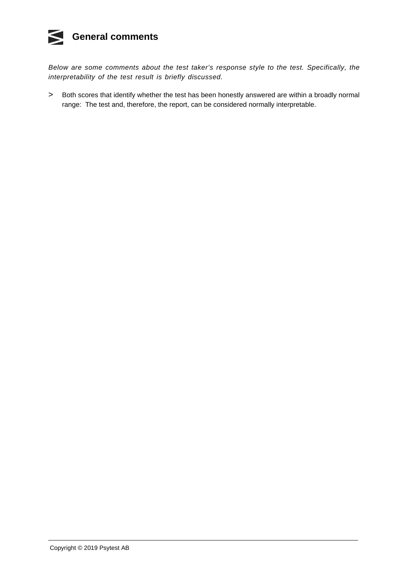#### K **General comments**

Below are some comments about the test taker's response style to the test. Specifically, the interpretability of the test result is briefly discussed.

> Both scores that identify whether the test has been honestly answered are within a broadly normal range: The test and, therefore, the report, can be considered normally interpretable.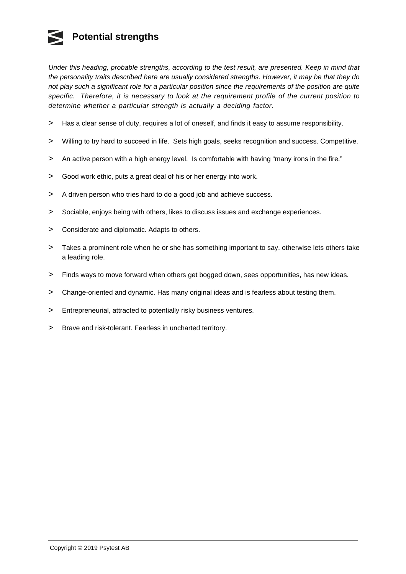## **Potential strengths**

Under this heading, probable strengths, according to the test result, are presented. Keep in mind that the personality traits described here are usually considered strengths. However, it may be that they do not play such a significant role for a particular position since the requirements of the position are quite specific. Therefore, it is necessary to look at the requirement profile of the current position to determine whether a particular strength is actually a deciding factor.

- > Has a clear sense of duty, requires a lot of oneself, and finds it easy to assume responsibility.
- > Willing to try hard to succeed in life. Sets high goals, seeks recognition and success. Competitive.
- > An active person with a high energy level. Is comfortable with having "many irons in the fire."
- $\geq$ Good work ethic, puts a great deal of his or her energy into work.
- $\,>$ A driven person who tries hard to do a good job and achieve success.
- $\,>$ Sociable, enjoys being with others, likes to discuss issues and exchange experiences.
- > Considerate and diplomatic. Adapts to others.
- > Takes a prominent role when he or she has something important to say, otherwise lets others take a leading role.
- > Finds ways to move forward when others get bogged down, sees opportunities, has new ideas.
- > Change-oriented and dynamic. Has many original ideas and is fearless about testing them.
- $\geq$ Entrepreneurial, attracted to potentially risky business ventures.
- > Brave and risk-tolerant. Fearless in uncharted territory.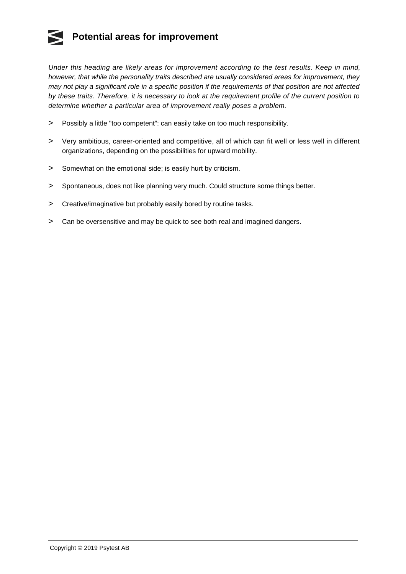## **Potential areas for improvement**

Under this heading are likely areas for improvement according to the test results. Keep in mind, however, that while the personality traits described are usually considered areas for improvement, they may not play a significant role in a specific position if the requirements of that position are not affected by these traits. Therefore, it is necessary to look at the requirement profile of the current position to determine whether a particular area of improvement really poses a problem.

- > Possibly a little "too competent": can easily take on too much responsibility.
- > Very ambitious, career-oriented and competitive, all of which can fit well or less well in different organizations, depending on the possibilities for upward mobility.
- > Somewhat on the emotional side; is easily hurt by criticism.
- > Spontaneous, does not like planning very much. Could structure some things better.
- $\geq$ Creative/imaginative but probably easily bored by routine tasks.
- > Can be oversensitive and may be quick to see both real and imagined dangers.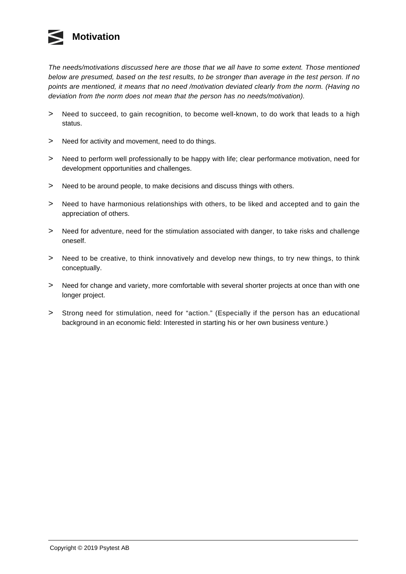

The needs/motivations discussed here are those that we all have to some extent. Those mentioned below are presumed, based on the test results, to be stronger than average in the test person. If no points are mentioned, it means that no need /motivation deviated clearly from the norm. (Having no deviation from the norm does not mean that the person has no needs/motivation).

- $\geq$ Need to succeed, to gain recognition, to become well-known, to do work that leads to a high status.
- > Need for activity and movement, need to do things.
- > Need to perform well professionally to be happy with life; clear performance motivation, need for development opportunities and challenges.
- > Need to be around people, to make decisions and discuss things with others.
- > Need to have harmonious relationships with others, to be liked and accepted and to gain the appreciation of others.
- > Need for adventure, need for the stimulation associated with danger, to take risks and challenge oneself.
- > Need to be creative, to think innovatively and develop new things, to try new things, to think conceptually.
- > Need for change and variety, more comfortable with several shorter projects at once than with one longer project.
- > Strong need for stimulation, need for "action." (Especially if the person has an educational background in an economic field: Interested in starting his or her own business venture.)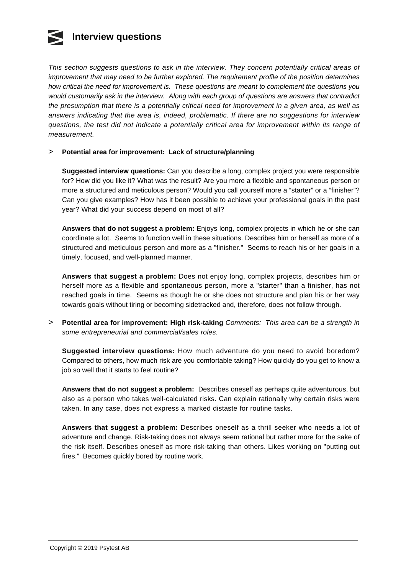## **Interview questions**

This section suggests questions to ask in the interview. They concern potentially critical areas of improvement that may need to be further explored. The requirement profile of the position determines how critical the need for improvement is. These questions are meant to complement the questions you would customarily ask in the interview. Along with each group of questions are answers that contradict the presumption that there is a potentially critical need for improvement in a given area, as well as answers indicating that the area is, indeed, problematic. If there are no suggestions for interview questions, the test did not indicate a potentially critical area for improvement within its range of measurement.

#### $\overline{\phantom{a}}$ **Potential area for improvement: Lack of structure/planning**

**Suggested interview questions:** Can you describe a long, complex project you were responsible for? How did you like it? What was the result? Are you more a flexible and spontaneous person or more a structured and meticulous person? Would you call yourself more a "starter" or a "finisher"? Can you give examples? How has it been possible to achieve your professional goals in the past year? What did your success depend on most of all?

**Answers that do not suggest a problem:** Enjoys long, complex projects in which he or she can coordinate a lot. Seems to function well in these situations. Describes him or herself as more of a structured and meticulous person and more as a "finisher." Seems to reach his or her goals in a timely, focused, and well-planned manner.

**Answers that suggest a problem:** Does not enjoy long, complex projects, describes him or herself more as a flexible and spontaneous person, more a "starter" than a finisher, has not reached goals in time. Seems as though he or she does not structure and plan his or her way towards goals without tiring or becoming sidetracked and, therefore, does not follow through.

> **Potential area for improvement: High risk-taking** Comments: This area can be a strength in some entrepreneurial and commercial/sales roles.

**Suggested interview questions:** How much adventure do you need to avoid boredom? Compared to others, how much risk are you comfortable taking? How quickly do you get to know a job so well that it starts to feel routine?

**Answers that do not suggest a problem:** Describes oneself as perhaps quite adventurous, but also as a person who takes well-calculated risks. Can explain rationally why certain risks were taken. In any case, does not express a marked distaste for routine tasks.

**Answers that suggest a problem:** Describes oneself as a thrill seeker who needs a lot of adventure and change. Risk-taking does not always seem rational but rather more for the sake of the risk itself. Describes oneself as more risk-taking than others. Likes working on "putting out fires." Becomes quickly bored by routine work.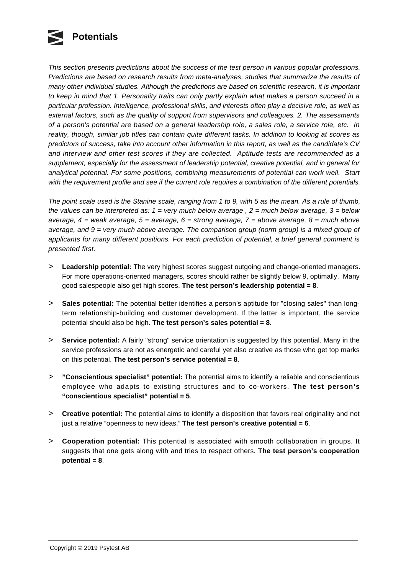

This section presents predictions about the success of the test person in various popular professions. Predictions are based on research results from meta-analyses, studies that summarize the results of many other individual studies. Although the predictions are based on scientific research, it is important to keep in mind that 1. Personality traits can only partly explain what makes a person succeed in a particular profession. Intelligence, professional skills, and interests often play a decisive role, as well as external factors, such as the quality of support from supervisors and colleagues. 2. The assessments of a person's potential are based on a general leadership role, a sales role, a service role, etc. In reality, though, similar job titles can contain quite different tasks. In addition to looking at scores as predictors of success, take into account other information in this report, as well as the candidate's CV and interview and other test scores if they are collected. Aptitude tests are recommended as a supplement, especially for the assessment of leadership potential, creative potential, and in general for analytical potential. For some positions, combining measurements of potential can work well. Start with the requirement profile and see if the current role requires a combination of the different potentials.

The point scale used is the Stanine scale, ranging from 1 to 9, with 5 as the mean. As a rule of thumb, the values can be interpreted as:  $1 =$  very much below average,  $2 =$  much below average,  $3 =$  below average,  $4 =$  weak average,  $5 =$  average,  $6 =$  strong average,  $7 =$  above average,  $8 =$  much above average, and  $9 =$  very much above average. The comparison group (norm group) is a mixed group of applicants for many different positions. For each prediction of potential, a brief general comment is presented first.

- $\geq$ **Leadership potential:** The very highest scores suggest outgoing and change-oriented managers. For more operations-oriented managers, scores should rather be slightly below 9, optimally. Many good salespeople also get high scores. **The test person's leadership potential = 8**.
- > **Sales potential:** The potential better identifies a person's aptitude for "closing sales" than longterm relationship-building and customer development. If the latter is important, the service potential should also be high. **The test person's sales potential = 8**.
- > **Service potential:** A fairly "strong" service orientation is suggested by this potential. Many in the service professions are not as energetic and careful yet also creative as those who get top marks on this potential. **The test person's service potential = 8**.
- > **"Conscientious specialist" potential:** The potential aims to identify a reliable and conscientious employee who adapts to existing structures and to co-workers. **The test person's "conscientious specialist" potential = 5**.
- > **Creative potential:** The potential aims to identify a disposition that favors real originality and not just a relative "openness to new ideas." **The test person's creative potential = 6**.
- > **Cooperation potential:** This potential is associated with smooth collaboration in groups. It suggests that one gets along with and tries to respect others. **The test person's cooperation potential = 8**.